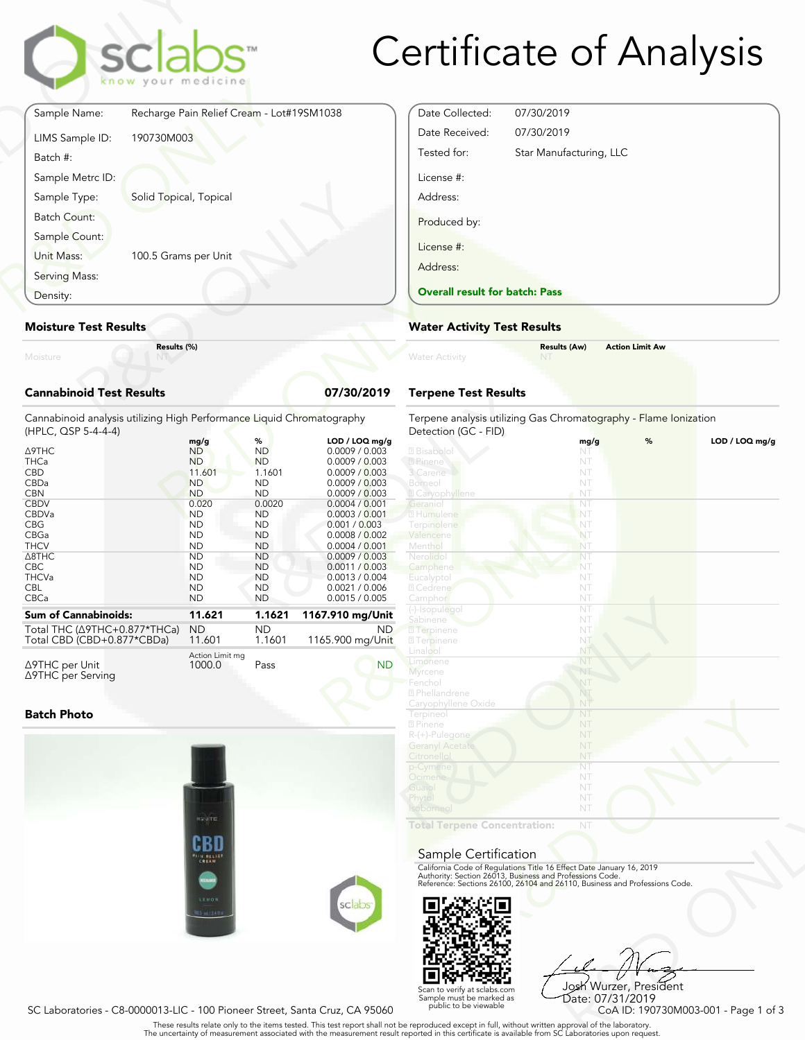# Certificate of Analysis

|                                 | sclabs <sup>®</sup><br>know your medicine |            |
|---------------------------------|-------------------------------------------|------------|
| Sample Name:                    | Recharge Pain Relief Cream - Lot#19SM1038 |            |
| LIMS Sample ID:<br>Batch #:     | 190730M003                                |            |
| Sample Metrc ID:                |                                           |            |
| Sample Type:                    | Solid Topical, Topical                    |            |
| <b>Batch Count:</b>             |                                           |            |
| Sample Count:                   |                                           |            |
| Unit Mass:                      | 100.5 Grams per Unit                      |            |
| Serving Mass:                   |                                           |            |
| Density:                        |                                           |            |
| <b>Moisture Test Results</b>    |                                           |            |
| Moisture                        | Results (%)                               |            |
| <b>Cannabinoid Test Results</b> |                                           | 07/30/2019 |

### Moisture Test Results

### Cannabinoid Test Results **Cannabinoid Test Results Cannabinoid Test Results Cannabinoid Test**

| Density:                                                                                                                                                                                             | <b>Overall result for batc</b>                                                                                                                                                                   |                                                                                                                                                                                                |                                                                                                                                                                                                                                                                                             |                                                                                                                                                                                                         |
|------------------------------------------------------------------------------------------------------------------------------------------------------------------------------------------------------|--------------------------------------------------------------------------------------------------------------------------------------------------------------------------------------------------|------------------------------------------------------------------------------------------------------------------------------------------------------------------------------------------------|---------------------------------------------------------------------------------------------------------------------------------------------------------------------------------------------------------------------------------------------------------------------------------------------|---------------------------------------------------------------------------------------------------------------------------------------------------------------------------------------------------------|
| <b>Moisture Test Results</b>                                                                                                                                                                         |                                                                                                                                                                                                  |                                                                                                                                                                                                |                                                                                                                                                                                                                                                                                             | <b>Water Activity Test R</b>                                                                                                                                                                            |
| Moisture                                                                                                                                                                                             | Results (%)                                                                                                                                                                                      |                                                                                                                                                                                                |                                                                                                                                                                                                                                                                                             | <b>Water Activity</b>                                                                                                                                                                                   |
| <b>Cannabinoid Test Results</b>                                                                                                                                                                      |                                                                                                                                                                                                  |                                                                                                                                                                                                | 07/30/2019                                                                                                                                                                                                                                                                                  | <b>Terpene Test Results</b>                                                                                                                                                                             |
| Cannabinoid analysis utilizing High Performance Liquid Chromatography<br>(HPLC, QSP 5-4-4-4)                                                                                                         |                                                                                                                                                                                                  |                                                                                                                                                                                                |                                                                                                                                                                                                                                                                                             | Terpene analysis utilizing<br>Detection (GC - FID)                                                                                                                                                      |
| Δ9THC<br><b>THCa</b><br><b>CBD</b><br>CBDa<br><b>CBN</b><br><b>CBDV</b><br><b>CBDVa</b><br><b>CBG</b><br>CBGa<br><b>THCV</b><br>$\triangle$ 8THC<br><b>CBC</b><br><b>THCVa</b><br><b>CBL</b><br>CBCa | mg/g<br><b>ND</b><br><b>ND</b><br>11.601<br><b>ND</b><br><b>ND</b><br>0.020<br><b>ND</b><br><b>ND</b><br><b>ND</b><br><b>ND</b><br><b>ND</b><br><b>ND</b><br><b>ND</b><br><b>ND</b><br><b>ND</b> | %<br><b>ND</b><br><b>ND</b><br>1.1601<br><b>ND</b><br><b>ND</b><br>0.0020<br><b>ND</b><br><b>ND</b><br><b>ND</b><br><b>ND</b><br><b>ND</b><br><b>ND</b><br><b>ND</b><br><b>ND</b><br><b>ND</b> | LOD / LOQ mg/g<br>0.0009 / 0.003<br>0.0009 / 0.003<br>0.0009 / 0.003<br>0.0009 / 0.003<br>0.0009 / 0.003<br>0.0004 / 0.001<br>0.0003 / 0.001<br>0.001 / 0.003<br>0.0008 / 0.002<br>0.0004 / 0.001<br>0.0009 / 0.003<br>0.0011 / 0.003<br>0.0013 / 0.004<br>0.0021 / 0.006<br>0.0015 / 0.005 | 2 Bisabolol<br>2 Pinene<br>3 Carene<br>Borneol<br><b>Z</b> Caryophyllene<br>Geraniol<br>2 Humulene<br>Terpinolene<br>Valencene<br>Menthol<br>Nerolido<br>Camphene<br>Eucalyptol<br>2 Cedrene<br>Camphor |
| <b>Sum of Cannabinoids:</b>                                                                                                                                                                          | 11.621                                                                                                                                                                                           | 1.1621                                                                                                                                                                                         | 1167.910 mg/Unit                                                                                                                                                                                                                                                                            | (-)-Isopulegol<br>Sabinene                                                                                                                                                                              |
| Total THC (∆9THC+0.877*THCa)<br>Total CBD (CBD+0.877*CBDa)                                                                                                                                           | <b>ND</b><br>11.601                                                                                                                                                                              | <b>ND</b><br>1.1601                                                                                                                                                                            | ND.<br>1165.900 mg/Unit                                                                                                                                                                                                                                                                     | <b>7</b> Terpinene<br><b>27</b> Terpinene                                                                                                                                                               |
| $\triangle$ 9THC per Unit                                                                                                                                                                            | Action Limit mg<br>1000.0                                                                                                                                                                        | Pass                                                                                                                                                                                           | <b>ND</b>                                                                                                                                                                                                                                                                                   | Linalool<br>Limonene<br>$\Lambda$ .                                                                                                                                                                     |

#### Batch Photo

Δ9THC per Serving



| Date Collected:                       | 07/30/2019              |
|---------------------------------------|-------------------------|
| Date Received:                        | 07/30/2019              |
| Tested for:                           | Star Manufacturing, LLC |
| License #:                            |                         |
| Address:                              |                         |
| Produced by:                          |                         |
| License #:                            |                         |
| Address:                              |                         |
| <b>Overall result for batch: Pass</b> |                         |

### Water Activity Test Results

| Water Activity | <b>Results (Aw)</b><br><b>NT</b> | <b>Action Limit Aw</b> |  |
|----------------|----------------------------------|------------------------|--|
|                |                                  |                        |  |

### Terpene Test Results

| atography      | Terpene analysis utilizing Gas Chromatography - Flame Ionization<br>Detection (GC - FID)                                                                                                                       |      |   |                |
|----------------|----------------------------------------------------------------------------------------------------------------------------------------------------------------------------------------------------------------|------|---|----------------|
| LOD / LOQ mg/g |                                                                                                                                                                                                                | mg/g | % | LOD / LOQ mq/q |
| 0.0009 / 0.003 | 2 Bisabolol                                                                                                                                                                                                    | NT   |   |                |
| 0.0009 / 0.003 | 2 Pinene                                                                                                                                                                                                       | NT   |   |                |
| 0.0009 / 0.003 | 3 Carene                                                                                                                                                                                                       | NT   |   |                |
| 0.0009 / 0.003 | Borneol                                                                                                                                                                                                        | NT   |   |                |
| 0.0009 / 0.003 | <b>Z</b> Caryophyllene                                                                                                                                                                                         | NT   |   |                |
| 0.0004 / 0.001 | Geranio                                                                                                                                                                                                        | NT   |   |                |
| 0.0003 / 0.001 | 2 Humulene                                                                                                                                                                                                     | NT   |   |                |
| 0.001 / 0.003  | <b>Terpinolene</b>                                                                                                                                                                                             | NT   |   |                |
| 0.0008 / 0.002 | Valencene                                                                                                                                                                                                      | NT   |   |                |
| 0.0004 / 0.001 | Menthol                                                                                                                                                                                                        | NT   |   |                |
| 0.0009 / 0.003 | Nerolidol                                                                                                                                                                                                      | NT   |   |                |
| 0.0011 / 0.003 | Camphene                                                                                                                                                                                                       | NT   |   |                |
| 0.0013 / 0.004 | Eucalyptol                                                                                                                                                                                                     | NT   |   |                |
| 0.0021 / 0.006 | 2 Cedrene                                                                                                                                                                                                      | NT   |   |                |
| 0.0015 / 0.005 | Camphor                                                                                                                                                                                                        | NT   |   |                |
|                | (-)-Isopulegol                                                                                                                                                                                                 | NT   |   |                |
| 57.910 mg/Unit | Sabinene                                                                                                                                                                                                       | NT   |   |                |
| ND.            | <b>7</b> Terpinene                                                                                                                                                                                             | NT.  |   |                |
| 65.900 mg/Unit | <b>27 Terpinene</b>                                                                                                                                                                                            | NT   |   |                |
|                | Linalool                                                                                                                                                                                                       | NT   |   |                |
| <b>ND</b>      | Limonene                                                                                                                                                                                                       | NT   |   |                |
|                | Myrcene                                                                                                                                                                                                        | NT   |   |                |
|                | Fenchol                                                                                                                                                                                                        | NT   |   |                |
|                | <sup>2</sup> Phellandrene                                                                                                                                                                                      | NT   |   |                |
|                | Caryophyllene Oxide                                                                                                                                                                                            | NT   |   |                |
|                | Terpineol                                                                                                                                                                                                      | NT   |   |                |
|                | 2 Pinene                                                                                                                                                                                                       | NT   |   |                |
|                | R-(+)-Pulegone                                                                                                                                                                                                 | NT   |   |                |
|                | <b>Geranyl Acetate</b>                                                                                                                                                                                         | NT   |   |                |
|                | Citronellol                                                                                                                                                                                                    | NT   |   |                |
|                | p-Cymene                                                                                                                                                                                                       | NT   |   |                |
|                | Ocimene                                                                                                                                                                                                        | NT   |   |                |
|                | Guaiol                                                                                                                                                                                                         | NT   |   |                |
|                | Phytol                                                                                                                                                                                                         | NT   |   |                |
|                | Isoborneol                                                                                                                                                                                                     | NT   |   |                |
|                |                                                                                                                                                                                                                |      |   |                |
|                | <b>Total Terpene Concentration:</b>                                                                                                                                                                            | NT   |   |                |
|                |                                                                                                                                                                                                                |      |   |                |
|                |                                                                                                                                                                                                                |      |   |                |
|                | Sample Certification                                                                                                                                                                                           |      |   |                |
|                | California Code of Regulations Title 16 Effect Date January 16, 2019<br>Authority: Section 26013, Business and Professions Code.<br>Reference: Sections 26100, 26104 and 26110, Business and Professions Code. |      |   |                |
|                |                                                                                                                                                                                                                |      |   |                |
|                |                                                                                                                                                                                                                |      |   |                |
| sclabs         |                                                                                                                                                                                                                |      |   |                |
|                |                                                                                                                                                                                                                |      |   |                |
|                |                                                                                                                                                                                                                |      |   |                |

### Sample Certification



NT<br>
NT<br>
Fect Date January 16, 2019<br>
rofessions Code.<br>
9110, Business and Professions Code.<br>
910, Business and Professions Code.<br>
92<br>
Josh Wurzer, President<br>
CoA ID: 190730M003-001 - Page 1 of 3<br>
pproval of the laboratories Josh Wurzer, President Date: 07/31/2019

SC Laboratories - C8-0000013-LIC - 100 Pioneer Street, Santa Cruz, CA 95060

. These results relate only to the items tested. This test report shall not be reproduced except in full, without written approval of the laboratory.<br>The uncertainty of measurement associated with the measurement result re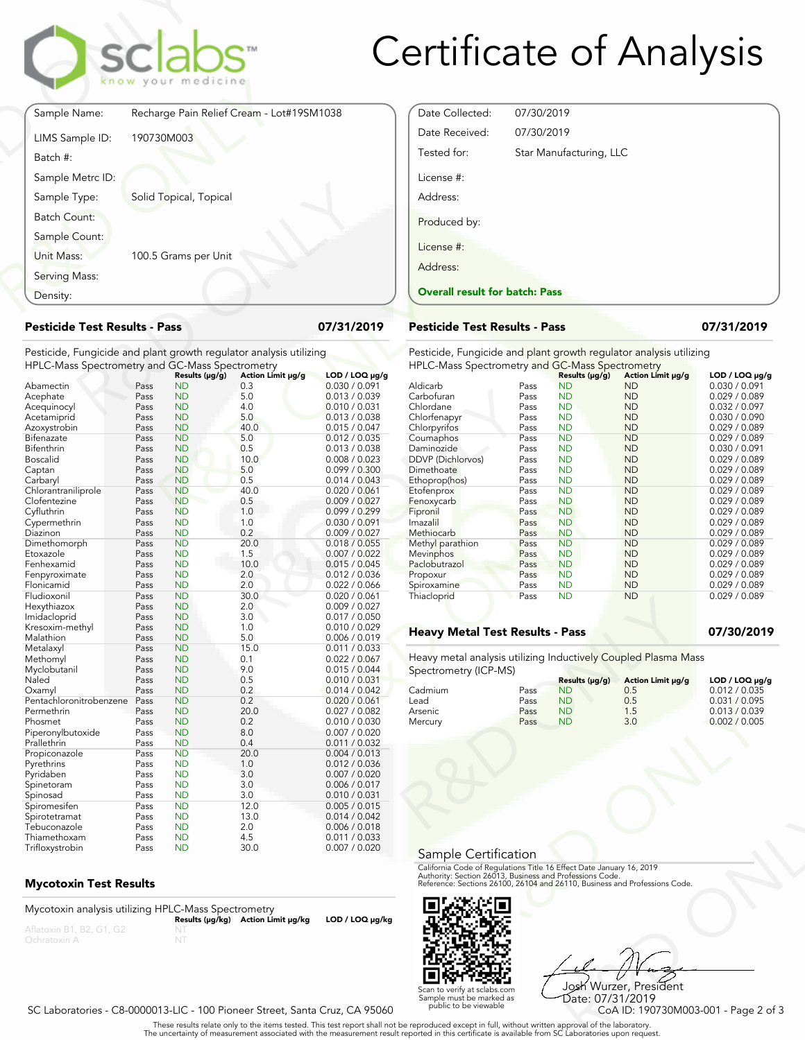

## Certificate of Analysis

|                                                                                                                       |              | sclabs<br>know your medicine |                                           |                                |
|-----------------------------------------------------------------------------------------------------------------------|--------------|------------------------------|-------------------------------------------|--------------------------------|
| Sample Name:                                                                                                          |              |                              | Recharge Pain Relief Cream - Lot#19SM1038 |                                |
| LIMS Sample ID:<br>Batch #:                                                                                           | 190730M003   |                              |                                           |                                |
| Sample Metrc ID:                                                                                                      |              |                              |                                           |                                |
| Sample Type:                                                                                                          |              | Solid Topical, Topical       |                                           |                                |
| <b>Batch Count:</b>                                                                                                   |              |                              |                                           |                                |
| Sample Count:                                                                                                         |              |                              |                                           |                                |
| Unit Mass:                                                                                                            |              | 100.5 Grams per Unit         |                                           |                                |
| Serving Mass:                                                                                                         |              |                              |                                           |                                |
| Density:                                                                                                              |              |                              |                                           |                                |
| <b>Pesticide Test Results - Pass</b>                                                                                  |              |                              |                                           | 07/31/2019                     |
| Pesticide, Fungicide and plant growth regulator analysis utilizing<br>HPLC-Mass Spectrometry and GC-Mass Spectrometry |              |                              |                                           |                                |
|                                                                                                                       |              | Results (µg/g)               | Action Limit µg/g                         | $LOD / LOQ \mu g/g$            |
| Abamectin<br>Acephate                                                                                                 | Pass<br>Pass | <b>ND</b><br><b>ND</b>       | 0.3<br>5.0                                | 0.030 / 0.091<br>0.013 / 0.039 |
| Acequinocyl                                                                                                           | Pass         | <b>ND</b>                    | 4.0                                       | 0.010 / 0.031                  |
| $\Lambda$ is a state of a state of $\Lambda$                                                                          | D---         | <b>NID</b>                   | E O                                       | 0.012 LO 020                   |

#### Pesticide Test Results - Pass 07/31/2019

| Density:                                                           | <b>Overall result for batc</b>                     |                |                   |                     |                                                                           |    |  |
|--------------------------------------------------------------------|----------------------------------------------------|----------------|-------------------|---------------------|---------------------------------------------------------------------------|----|--|
|                                                                    | <b>Pesticide Test Results - Pass</b><br>07/31/2019 |                |                   |                     |                                                                           |    |  |
| Pesticide, Fungicide and plant growth regulator analysis utilizing |                                                    |                |                   |                     | Pesticide, Fungicide and                                                  |    |  |
| HPLC-Mass Spectrometry and GC-Mass Spectrometry                    |                                                    |                |                   |                     | <b>HPLC-Mass Spectrometry</b>                                             |    |  |
|                                                                    |                                                    | Results (µg/g) | Action Limit µg/g | $LOD / LOQ \mu g/g$ |                                                                           |    |  |
| Abamectin                                                          | Pass                                               | ND             | 0.3               | 0.030 / 0.091       | Aldicarb                                                                  | Pa |  |
| Acephate                                                           | Pass                                               | <b>ND</b>      | 5.0               | 0.013 / 0.039       | Carbofuran                                                                | Pa |  |
| Acequinocyl                                                        | Pass                                               | <b>ND</b>      | 4.0               | 0.010 / 0.031       | Chlordane                                                                 | Pa |  |
| Acetamiprid                                                        | Pass                                               | <b>ND</b>      | 5.0               | 0.013 / 0.038       | Chlorfenapyr                                                              | Pa |  |
| Azoxystrobin                                                       | Pass                                               | <b>ND</b>      | 40.0              | 0.015 / 0.047       | Chlorpyrifos                                                              | Pa |  |
| Bifenazate                                                         | Pass                                               | <b>ND</b>      | 5.0               | 0.012 / 0.035       | Coumaphos                                                                 | Pa |  |
| Bifenthrin                                                         | Pass                                               | <b>ND</b>      | 0.5               | 0.013 / 0.038       | Daminozide                                                                | Pa |  |
| Boscalid                                                           | Pass                                               | <b>ND</b>      | 10.0              | 0.008 / 0.023       | DDVP (Dichlorvos)                                                         | Pa |  |
| Captan                                                             | Pass                                               | <b>ND</b>      | 5.0               | 0.099 / 0.300       | Dimethoate                                                                | Pa |  |
| Carbaryl                                                           | Pass                                               | ND             | 0.5               | 0.014 / 0.043       | Ethoprop(hos)                                                             | Pa |  |
| Chlorantraniliprole                                                | Pass                                               | <b>ND</b>      | 40.0              | 0.020 / 0.061       | Etofenprox                                                                | Pa |  |
| Clofentezine                                                       | Pass                                               | <b>ND</b>      | 0.5               | 0.009 / 0.027       | Fenoxycarb                                                                | Pa |  |
| Cyfluthrin                                                         | Pass                                               | <b>ND</b>      | 1.0               | 0.099 / 0.299       | Fipronil                                                                  | Pa |  |
| Cypermethrin                                                       | Pass                                               | <b>ND</b>      | 1.0               | 0.030 / 0.091       | Imazalil                                                                  | Pa |  |
| Diazinon                                                           | Pass                                               | <b>ND</b>      | 0.2               | 0.009 / 0.027       | Methiocarb                                                                | Pa |  |
| Dimethomorph                                                       | Pass                                               | <b>ND</b>      | 20.0              | 0.018 / 0.055       | Methyl parathion                                                          | Pa |  |
| Etoxazole                                                          | Pass                                               | <b>ND</b>      | 1.5               | 0.007 / 0.022       | Mevinphos                                                                 | Pa |  |
| Fenhexamid                                                         | Pass                                               | <b>ND</b>      | 10.0              | 0.015 / 0.045       | Paclobutrazol                                                             | Pa |  |
| Fenpyroximate                                                      | Pass                                               | <b>ND</b>      | 2.0               | 0.012 / 0.036       | Propoxur                                                                  | Pa |  |
| Flonicamid                                                         | Pass                                               | <b>ND</b>      | 2.0               | 0.022 / 0.066       | Spiroxamine                                                               | Pa |  |
| Fludioxonil                                                        | Pass                                               | <b>ND</b>      | 30.0              | 0.020 / 0.061       | Thiacloprid                                                               | Pa |  |
| Hexythiazox                                                        | Pass                                               | <b>ND</b>      | 2.0               | 0.009 / 0.027       |                                                                           |    |  |
| Imidacloprid                                                       | Pass                                               | ND             | 3.0               | 0.017 / 0.050       |                                                                           |    |  |
| Kresoxim-methyl                                                    | Pass                                               | <b>ND</b>      | 1.0               | 0.010 / 0.029       | <b>Heavy Metal Test Res</b>                                               |    |  |
| Malathion                                                          | Pass                                               | <b>ND</b>      | 5.0               | 0.006 / 0.019       |                                                                           |    |  |
| Metalaxyl                                                          | Pass                                               | <b>ND</b>      | 15.0              | 0.011 / 0.033       |                                                                           |    |  |
| Methomyl                                                           | Pass                                               | <b>ND</b>      | 0.1               | 0.022 / 0.067       | Heavy metal analysis utiliz                                               |    |  |
| Myclobutanil                                                       | Pass                                               | <b>ND</b>      | 9.0               | 0.015 / 0.044       | Spectrometry (ICP-MS)                                                     |    |  |
| Naled                                                              | Pass                                               | <b>ND</b>      | 0.5               | 0.010 / 0.031       |                                                                           |    |  |
| Oxamyl                                                             | Pass                                               | <b>ND</b>      | 0.2               | 0.014 / 0.042       | Cadmium                                                                   | Pa |  |
| Pentachloronitrobenzene                                            | Pass                                               | <b>ND</b>      | 0.2               | 0.020 / 0.061       | Lead                                                                      | Pa |  |
| Permethrin                                                         | Pass                                               | <b>ND</b>      | 20.0              | 0.027 / 0.082       | Arsenic                                                                   | Pa |  |
| Phosmet                                                            | Pass                                               | <b>ND</b>      | 0.2               | 0.010 / 0.030       | Mercury                                                                   | Pa |  |
| Piperonylbutoxide                                                  | Pass                                               | <b>ND</b>      | 8.0               | 0.007 / 0.020       |                                                                           |    |  |
| Prallethrin                                                        | Pass                                               | <b>ND</b>      | 0.4               | 0.011 / 0.032       |                                                                           |    |  |
| Propiconazole                                                      | Pass                                               | <b>ND</b>      | 20.0              | 0.004 / 0.013       |                                                                           |    |  |
| Pyrethrins                                                         | Pass                                               | <b>ND</b>      | 1.0               | 0.012 / 0.036       |                                                                           |    |  |
| Pyridaben                                                          | Pass                                               | <b>ND</b>      | 3.0               | 0.007 / 0.020       |                                                                           |    |  |
| Spinetoram                                                         | Pass                                               | <b>ND</b>      | 3.0               | 0.006 / 0.017       |                                                                           |    |  |
| Spinosad                                                           | Pass                                               | <b>ND</b>      | 3.0               | 0.010 / 0.031       |                                                                           |    |  |
| Spiromesifen                                                       | Pass                                               | <b>ND</b>      | 12.0              | 0.005 / 0.015       |                                                                           |    |  |
| Spirotetramat                                                      | Pass                                               | <b>ND</b>      | 13.0              | 0.014 / 0.042       |                                                                           |    |  |
| Tebuconazole                                                       | Pass                                               | <b>ND</b>      | 2.0               | 0.006 / 0.018       |                                                                           |    |  |
| Thiamethoxam                                                       | Pass                                               | <b>ND</b>      | 4.5               | 0.011 / 0.033       |                                                                           |    |  |
| Trifloxystrobin                                                    | Pass                                               | <b>ND</b>      | 30.0              | 0.007 / 0.020       | $\mathsf{L} \cup \mathsf{L} \subset \mathsf{L} \cup \mathsf{L}$<br>$\sim$ |    |  |

### Mycotoxin Test Results

| Mycotoxin analysis utilizing HPLC-Mass Spectrometry |    |                                    |                      |
|-----------------------------------------------------|----|------------------------------------|----------------------|
|                                                     |    | Results (µq/kq) Action Limit µq/kq | $LOD / LOQ \mu q/kg$ |
| Aflatoxin B1, B2, G1, G2                            |    |                                    |                      |
| Ochratoxin A                                        | NT |                                    |                      |

| <b>Overall result for batch: Pass</b> |                         |
|---------------------------------------|-------------------------|
| Address:                              |                         |
| License #:                            |                         |
| Produced by:                          |                         |
| Address:                              |                         |
| License #:                            |                         |
| Tested for:                           | Star Manufacturing, LLC |
| Date Received:                        | 07/30/2019              |
| Date Collected:                       | 07/30/2019              |

#### Pesticide Test Results - Pass 07/31/2019

Pesticide, Fungicide and plant growth regulator analysis utilizing HPLC-Mass Spectrometry and GC-Mass Spectrometry

|                   |                                       | Results $(\mu g/g)$   | Action Limit µg/g                      | $LOD / LOQ \mu q/q$                                                                                               |
|-------------------|---------------------------------------|-----------------------|----------------------------------------|-------------------------------------------------------------------------------------------------------------------|
|                   | Pass                                  | <b>ND</b>             | <b>ND</b>                              | 0.030 / 0.091                                                                                                     |
| Carbofuran        | Pass                                  | <b>ND</b>             | <b>ND</b>                              | 0.029 / 0.089                                                                                                     |
| Chlordane         | Pass                                  | <b>ND</b>             | <b>ND</b>                              | 0.032 / 0.097                                                                                                     |
| Chlorfenapyr      | Pass                                  | <b>ND</b>             | <b>ND</b>                              | 0.030 / 0.090                                                                                                     |
| Chlorpyrifos      | Pass                                  | <b>ND</b>             | <b>ND</b>                              | 0.029 / 0.089                                                                                                     |
| Coumaphos         | Pass                                  | <b>ND</b>             | <b>ND</b>                              | 0.029 / 0.089                                                                                                     |
| Daminozide        | Pass                                  | <b>ND</b>             | <b>ND</b>                              | 0.030 / 0.091                                                                                                     |
| DDVP (Dichlorvos) | Pass                                  | <b>ND</b>             | <b>ND</b>                              | 0.029 / 0.089                                                                                                     |
| Dimethoate        | Pass                                  | <b>ND</b>             | <b>ND</b>                              | 0.029 / 0.089                                                                                                     |
|                   | Pass                                  | <b>ND</b>             | <b>ND</b>                              | 0.029 / 0.089                                                                                                     |
| Etofenprox        | Pass                                  | <b>ND</b>             | <b>ND</b>                              | 0.029 / 0.089                                                                                                     |
| Fenoxycarb        | Pass                                  | <b>ND</b>             | <b>ND</b>                              | 0.029 / 0.089                                                                                                     |
|                   | Pass                                  | <b>ND</b>             | <b>ND</b>                              | 0.029 / 0.089                                                                                                     |
| Imazalil          | Pass                                  | <b>ND</b>             | <b>ND</b>                              | 0.029 / 0.089                                                                                                     |
| Methiocarb        | Pass                                  | <b>ND</b>             | <b>ND</b>                              | 0.029 / 0.089                                                                                                     |
| Methyl parathion  | Pass                                  | <b>ND</b>             | <b>ND</b>                              | 0.029 / 0.089                                                                                                     |
| Mevinphos         | Pass                                  | <b>ND</b>             | <b>ND</b>                              | 0.029 / 0.089                                                                                                     |
| Paclobutrazol     | Pass                                  | <b>ND</b>             | <b>ND</b>                              | 0.029 / 0.089                                                                                                     |
| Propoxur          | Pass                                  | <b>ND</b>             | <b>ND</b>                              | 0.029 / 0.089                                                                                                     |
| Spiroxamine       | Pass                                  | <b>ND</b>             | <b>ND</b>                              | 0.029 / 0.089                                                                                                     |
| Thiacloprid       | Pass                                  | <b>ND</b>             | <b>ND</b>                              | 0.029 / 0.089                                                                                                     |
|                   |                                       |                       |                                        |                                                                                                                   |
|                   |                                       |                       |                                        |                                                                                                                   |
|                   |                                       |                       |                                        | 07/30/2019                                                                                                        |
|                   |                                       |                       |                                        |                                                                                                                   |
|                   |                                       |                       |                                        |                                                                                                                   |
|                   |                                       |                       |                                        |                                                                                                                   |
|                   |                                       |                       |                                        |                                                                                                                   |
|                   |                                       | Results (µg/g)        | Action Limit µg/g                      | $LOD / LOQ \mu g/g$                                                                                               |
| Cadmium           | Pass                                  | <b>ND</b>             | 0.5                                    | 0.012 / 0.035                                                                                                     |
| Lead              | Pass                                  | <b>ND</b>             | 0.5                                    | 0.031 / 0.095                                                                                                     |
| Arsenic           | Pass                                  | <b>ND</b>             | 1.5                                    | 0.013 / 0.039                                                                                                     |
| Mercury           | Pass                                  | <b>ND</b>             | 3.0                                    | 0.002 / 0.005                                                                                                     |
|                   | Aldicarb<br>Ethoprop(hos)<br>Fipronil | Spectrometry (ICP-MS) | <b>Heavy Metal Test Results - Pass</b> | The LC-Mass Speculument and OC-Mass Speculument<br>Heavy metal analysis utilizing Inductively Coupled Plasma Mass |

#### Heavy Metal Test Results - Pass **1988 12:30 12:30** 07/30/2019

| i niacioprig                                                                                                                                                                                                   | rass         | שצו                    | שצו               | <b>U.UZY / U.UOY</b>           |
|----------------------------------------------------------------------------------------------------------------------------------------------------------------------------------------------------------------|--------------|------------------------|-------------------|--------------------------------|
| <b>Heavy Metal Test Results - Pass</b>                                                                                                                                                                         |              |                        |                   | 07/30/2019                     |
| Heavy metal analysis utilizing Inductively Coupled Plasma Mass<br>Spectrometry (ICP-MS)                                                                                                                        |              |                        |                   |                                |
|                                                                                                                                                                                                                |              | Results (µg/g)         | Action Limit µg/g | LOD / LOQ µg/g                 |
| Cadmium                                                                                                                                                                                                        | Pass         | <b>ND</b>              | 0.5               | 0.012 / 0.035                  |
| Lead<br>Arsenic                                                                                                                                                                                                | Pass<br>Pass | <b>ND</b><br><b>ND</b> | 0.5<br>1.5        | 0.031 / 0.095<br>0.013 / 0.039 |
| Mercury                                                                                                                                                                                                        | Pass         | <b>ND</b>              | 3.0               | 0.002 / 0.005                  |
|                                                                                                                                                                                                                |              |                        |                   |                                |
| Sample Certification                                                                                                                                                                                           |              |                        |                   |                                |
| California Code of Regulations Title 16 Effect Date January 16, 2019<br>Authority: Section 26013, Business and Professions Code.<br>Reference: Sections 26100, 26104 and 26110, Business and Professions Code. |              |                        |                   |                                |
|                                                                                                                                                                                                                |              |                        |                   |                                |



R&D ONLY Josh Wurzer, President Date: 07/31/2019<br>CoA ID: 190730M003-001 - Page 2 of 3

SC Laboratories - C8-0000013-LIC - 100 Pioneer Street, Santa Cruz, CA 95060

. These results relate only to the items tested. This test report shall not be reproduced except in full, without written approval of the laboratory.<br>The uncertainty of measurement associated with the measurement result re